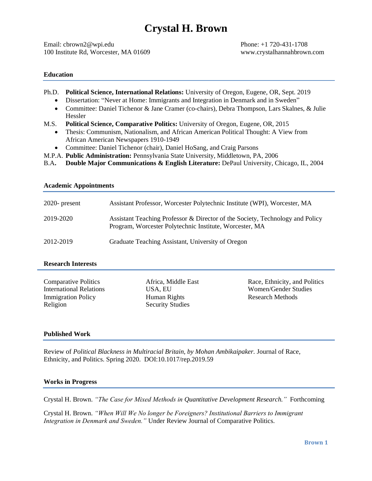# **Crystal H. Brown**

Email: cbrown2@wpi.edu Phone: +1 720-431-1708 100 Institute Rd, Worcester, MA 01609 www.crystalhannahbrown.com

# **Education**

- Ph.D. **Political Science, International Relations:** University of Oregon, Eugene, OR, Sept. 2019
	- Dissertation: "Never at Home: Immigrants and Integration in Denmark and in Sweden"
	- Committee: Daniel Tichenor & Jane Cramer (co-chairs), Debra Thompson, Lars Skalnes, & Julie Hessler
- M.S. **Political Science, Comparative Politics:** University of Oregon, Eugene, OR, 2015
	- Thesis: Communism, Nationalism, and African American Political Thought: A View from African American Newspapers 1910-1949
	- Committee: Daniel Tichenor (chair), Daniel HoSang, and Craig Parsons
- M.P.A. **Public Administration:** Pennsylvania State University, Middletown, PA, 2006
- B.A**. Double Major Communications & English Literature:** DePaul University, Chicago, IL, 2004

| $2020$ - present | Assistant Professor, Worcester Polytechnic Institute (WPI), Worcester, MA                                                                |
|------------------|------------------------------------------------------------------------------------------------------------------------------------------|
| 2019-2020        | Assistant Teaching Professor & Director of the Society, Technology and Policy<br>Program, Worcester Polytechnic Institute, Worcester, MA |
| 2012-2019        | Graduate Teaching Assistant, University of Oregon                                                                                        |

# **Research Interests**

**Academic Appointments**

| <b>Comparative Politics</b>    |
|--------------------------------|
| <b>International Relations</b> |
| <b>Immigration Policy</b>      |
| Religion                       |

Africa, Middle East USA, EU Human Rights Security Studies

Race, Ethnicity, and Politics Women/Gender Studies Research Methods

## **Published Work**

Review of *Political Blackness in Multiracial Britain, by Mohan Ambikaipaker.* Journal of Race, Ethnicity, and Politics. Spring 2020. DOI:10.1017/rep.2019.59

# **Works in Progress**

Crystal H. Brown. *"The Case for Mixed Methods in Quantitative Development Research."* Forthcoming

Crystal H. Brown. *"When Will We No longer be Foreigners? Institutional Barriers to Immigrant Integration in Denmark and Sweden."* Under Review Journal of Comparative Politics.